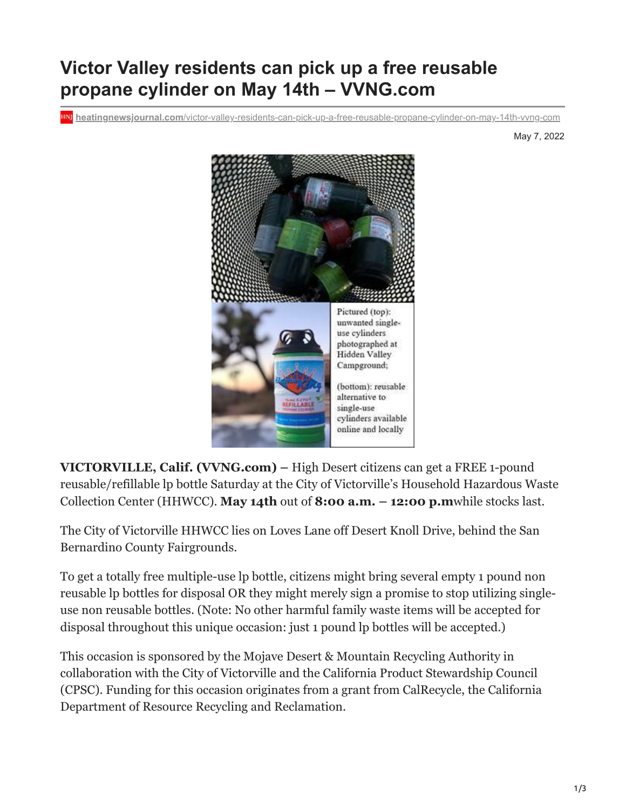## **Victor Valley residents can pick up a free reusable propane cylinder on May 14th – VVNG.com**

**heatingnewsjournal.com**[/victor-valley-residents-can-pick-up-a-free-reusable-propane-cylinder-on-may-14th-vvng-com](https://heatingnewsjournal.com/victor-valley-residents-can-pick-up-a-free-reusable-propane-cylinder-on-may-14th-vvng-com/)

May 7, 2022



**VICTORVILLE, Calif. (VVNG.com) –** High Desert citizens can get a FREE 1-pound reusable/refillable lp bottle Saturday at the City of Victorville's Household Hazardous Waste Collection Center (HHWCC). **May 14th** out of **8:00 a.m. – 12:00 p.m**while stocks last.

The City of Victorville HHWCC lies on Loves Lane off Desert Knoll Drive, behind the San Bernardino County Fairgrounds.

To get a totally free multiple-use lp bottle, citizens might bring several empty 1 pound non reusable lp bottles for disposal OR they might merely sign a promise to stop utilizing singleuse non reusable bottles. (Note: No other harmful family waste items will be accepted for disposal throughout this unique occasion: just 1 pound lp bottles will be accepted.)

This occasion is sponsored by the Mojave Desert & Mountain Recycling Authority in collaboration with the City of Victorville and the California Product Stewardship Council (CPSC). Funding for this occasion originates from a grant from CalRecycle, the California Department of Resource Recycling and Reclamation.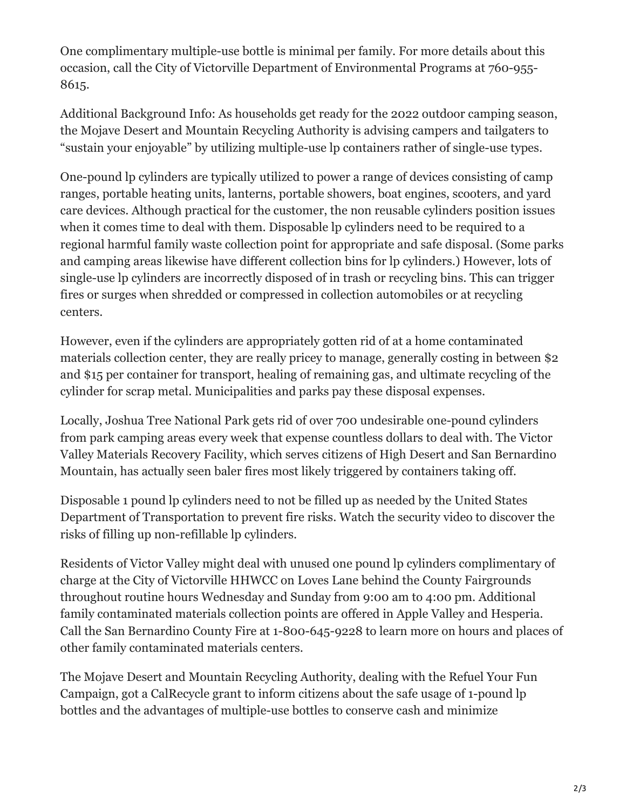One complimentary multiple-use bottle is minimal per family. For more details about this occasion, call the City of Victorville Department of Environmental Programs at 760-955- 8615.

Additional Background Info: As households get ready for the 2022 outdoor camping season, the Mojave Desert and Mountain Recycling Authority is advising campers and tailgaters to "sustain your enjoyable" by utilizing multiple-use lp containers rather of single-use types.

One-pound lp cylinders are typically utilized to power a range of devices consisting of camp ranges, portable heating units, lanterns, portable showers, boat engines, scooters, and yard care devices. Although practical for the customer, the non reusable cylinders position issues when it comes time to deal with them. Disposable lp cylinders need to be required to a regional harmful family waste collection point for appropriate and safe disposal. (Some parks and camping areas likewise have different collection bins for lp cylinders.) However, lots of single-use lp cylinders are incorrectly disposed of in trash or recycling bins. This can trigger fires or surges when shredded or compressed in collection automobiles or at recycling centers.

However, even if the cylinders are appropriately gotten rid of at a home contaminated materials collection center, they are really pricey to manage, generally costing in between \$2 and \$15 per container for transport, healing of remaining gas, and ultimate recycling of the cylinder for scrap metal. Municipalities and parks pay these disposal expenses.

Locally, Joshua Tree National Park gets rid of over 700 undesirable one-pound cylinders from park camping areas every week that expense countless dollars to deal with. The Victor Valley Materials Recovery Facility, which serves citizens of High Desert and San Bernardino Mountain, has actually seen baler fires most likely triggered by containers taking off.

Disposable 1 pound lp cylinders need to not be filled up as needed by the United States Department of Transportation to prevent fire risks. Watch the security video to discover the risks of filling up non-refillable lp cylinders.

Residents of Victor Valley might deal with unused one pound lp cylinders complimentary of charge at the City of Victorville HHWCC on Loves Lane behind the County Fairgrounds throughout routine hours Wednesday and Sunday from 9:00 am to 4:00 pm. Additional family contaminated materials collection points are offered in Apple Valley and Hesperia. Call the San Bernardino County Fire at 1-800-645-9228 to learn more on hours and places of other family contaminated materials centers.

The Mojave Desert and Mountain Recycling Authority, dealing with the Refuel Your Fun Campaign, got a CalRecycle grant to inform citizens about the safe usage of 1-pound lp bottles and the advantages of multiple-use bottles to conserve cash and minimize